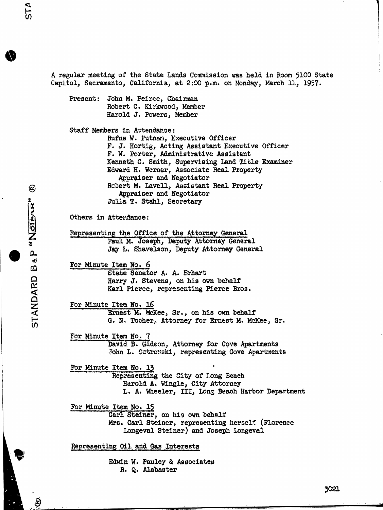$\circlede$ 

Capitol, Sacramento, California, at 2:00 p.m. on Monday, March 11, 1957. Present: John M. Peirce, Chairman Robert C. Kirkwood, Member Harold J. Powers, Member Staff Members in Attendance: Rufus W. Putnam, Executive Officer F. J. Hortig, Acting Assistant Executive Officer F. W. Porter, Administrative Assistant Kenneth C. Smith, Supervising Land Title Examiner Edward H. Werner, Associate Real Property Appraiser and Negotiator Robert M. Lavell, Assistant Real Property<br>Appraiser and Negotiator Julia T. Stahl, Secretary Others in Atterdance: Representing the Office of the Attorney General Paul M. Joseph, Deputy Attorney General Jay L. Shavelson, Deputy Attorney General For Minute Item No. 6 State Senator A. A. Erhart Harry J. Stevens, on his own behalf Karl Pierce, representing Pierce Bros. For Minute Item No. 16 Ernest M. Mckee, Sr., on his own behalf Julia T. Stahl, Secretary<br>
Others in Attendance:<br>
Representing the Office of the Attorney General<br>
Paul M. Joseph, Deputy Attorney General<br>
Jay L. Shavelson, Deputy Attorney General<br>
For Minute Item No. 6<br>
State Senator A. For Minute Item No. 7 David B. Gideon, Attorney for Cove Apartments John L. Ostrowski, representing Cove Apartments For Minute Item No. 13<br>Representing the City of Long Beach Harold A. Wingle, City Attorney L. A. Wheeler, III, Long Beach Harbor Department For Minute Item No. 15 Carl Steiner, on his own behalf<br>Mrs. Carl Steiner, representing herself (Florence Longeval Steiner) and Joseph Longeval Representing Oil and Gas Interests Edwin W. Pauley & Associates R. Q. Alabaster

A regular meeting of the State Lands Commission was held in Room 5100 State